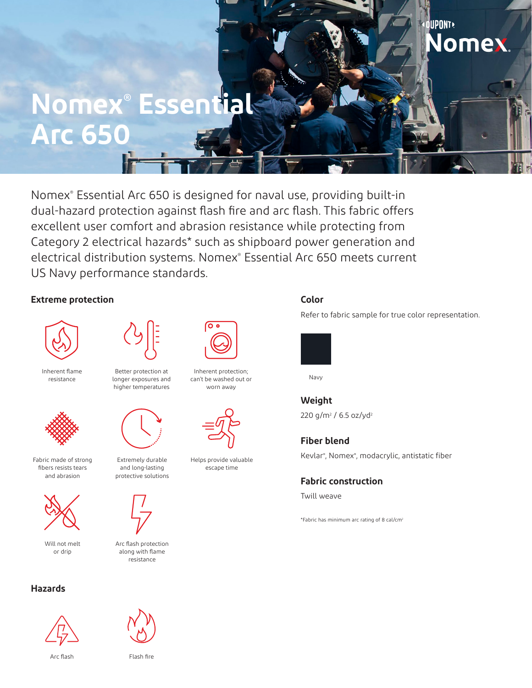# **Nomex® Essential Arc 650**

Nomex® Essential Arc 650 is designed for naval use, providing built-in dual-hazard protection against flash fire and arc flash. This fabric offers excellent user comfort and abrasion resistance while protecting from Category 2 electrical hazards\* such as shipboard power generation and electrical distribution systems. Nomex® Essential Arc 650 meets current US Navy performance standards.

### **Extreme protection**



Inherent flame resistance



Fabric made of strong fibers resists tears and abrasion



Will not melt or drip

### **Hazards**



Arc flash



Better protection at longer exposures and higher temperatures



Extremely durable and long-lasting protective solutions



Arc flash protection along with flame resistance

Flash fire



Inherent protection; can't be washed out or worn away



Helps provide valuable escape time

## **Color**

Refer to fabric sample for true color representation.

**OUPONT** 

lomex.



Navy

**Weight** 220 g/m<sup>2</sup> / 6.5 oz/yd<sup>2</sup>

**Fiber blend** Kevlar® , Nomex® , modacrylic, antistatic fiber

**Fabric construction**

Twill weave

\*Fabric has minimum arc rating of 8 cal/cm2